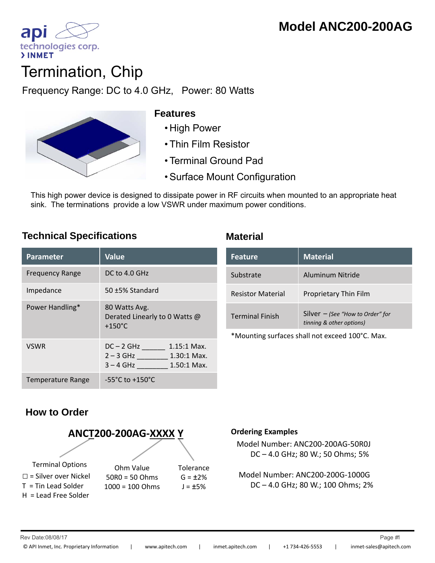

# **Termination, Chip**

Frequency Range: DC to 4.0 GHz, Power: 80 Watts



### **Features**

- 
- Thin Film Resistor
- Terminal Ground Pad
- Surface Mount Configuration

This high power device is designed to dissipate power in RF circuits when mounted to an appropriate heat sink. The terminations provide a low VSWR under maximum power conditions.

## **Technical Specifications Material**

| <b>Parameter</b>       | <b>Value</b>                                                                                |
|------------------------|---------------------------------------------------------------------------------------------|
| <b>Frequency Range</b> | DC to 4.0 GHz                                                                               |
| Impedance              | $50 + 5%$ Standard                                                                          |
| Power Handling*        | 80 Watts Avg.<br>Derated Linearly to 0 Watts @<br>$+150^{\circ}$ C                          |
| <b>VSWR</b>            | $DC - 2 GHz$<br>$1.15:1$ Max.<br>$2 - 3$ GHz<br>1.30:1 Max.<br>$3 - 4$ GHz<br>$1.50:1$ Max. |
| Temperature Range      | $-55^{\circ}$ C to $+150^{\circ}$ C                                                         |

| <b>Feature</b>           | <b>Material</b>                                                |
|--------------------------|----------------------------------------------------------------|
| Substrate                | Aluminum Nitride                                               |
| <b>Resistor Material</b> | Proprietary Thin Film                                          |
| <b>Terminal Finish</b>   | Silver $-$ (See "How to Order" for<br>tinning & other options) |

\*Mounting surfaces shall not exceed 100°C. Max.

# **How to Order**



#### **Ordering Examples**

Model Number: ANC200‐200AG‐50R0J DC – 4.0 GHz; 80 W.; 50 Ohms; 5%

Model Number: ANC200‐200G‐1000G DC – 4.0 GHz; 80 W.; 100 Ohms; 2%